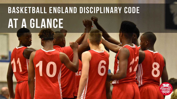# **BASKETBALL England Disciplinary code at a glance**

10

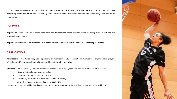This is a brief overview of some of the information that can be found in the Disciplinary Code. It does not cover everything contained within the Disciplinary Code. If further detail or clarity is needed, the Disciplinary Code should be referred to.

## **PURPOSE**

**Improve Process** – Provide a clear, consistent and transparent framework for discipline complaints. A just and fair process is paramount.

**Improve Confidence** – Ensure members trust the system to address complaints and concerns appropriately.

# **APPLICATION**

**Participants** – The Disciplinary Code applies to all members of BE; organisations, members of organisations, players, officials and officers. It applies at all times, and includes online behaviour.

**Offences** – The Disciplinary Code covers serious breaches of BE rules, regs and standards of conduct. Including:

- Discriminatory language or behaviour;
- Violence or threats to match officials;
- Actions by members in a position of trust or authority
- Any other matter as deemed appropriate by BE

Less serious breaches will be handled by Leagues or Member Organisations, unless otherwise instructed by BE

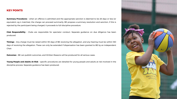## **KEY POINTS**

**Summary Procedures** – when an offence is admitted and the appropriate sanction is deemed to be 28 days or less (or equivalent, eg 4 matches), the charge can proceed summarily. BE propose a summary resolution and sanction, if this is rejected by the participant being charged, it proceeds to full discipline procedure.

**Club Responsibility** – Clubs are responsible for spectator conduct. Separate guidance on due diligence has been produced.

**Timings** – Any charge must be raised within 90 days of BE receiving the allegation, and any hearing must be within 180 days of receiving the allegation. These can only be extended if dispensation has been granted to BE by an independent Chair.

**Outcomes** – BE can publish outcomes, and Written Reasons will be produced for all serious cases.

**Young People and Adults At Risk** – specific procedures are detailed for young people and adults at risk involved in the discipline process. Separate guidance has been produced.

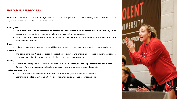# **THE DISCIPLINE PROCESS**

What is it? The discipline process is in place as a way to investigate and resolve an alleged breach of BE rules or *regulations. It sets out the steps that will be taken.*

## **Investigation**

- Any allegation that could potentially be deemed as a serious case must be passed to BE without delay. Clubs, League and Match Officials have a vital role to play in ensuring this happens.
- BE will begin an investigation, obtaining evidence. This will usually be statements from individuals who witnessed the incident.

#### **Charge**

• If there is sufficient evidence a charge will be raised, detailing the allegation and setting out the evidence.

#### **Response**

• The participant has 14 days to respond – accepting or denying the charge, and choosing either a personal or correspondence hearing. There is a £100 fee for the personal hearing option.

## **Hearing**

- A commission is appointed, and they will consider all the evidence, and the response from the participant.
- Guidance for the procedures applicable to a personal hearing has been produced separately.

## **Decision and sanction**

- Cases are decided on 'Balance of Probability' is it more likely than not to have occurred?
- Commissions will refer to the Sanction guidelines when deciding an appropriate sanction.